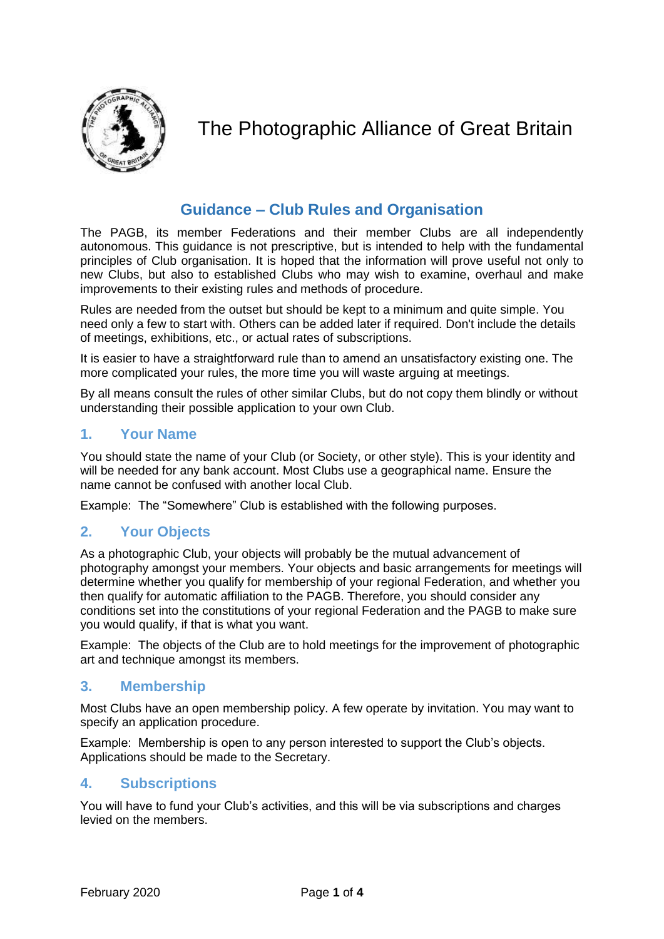

# The Photographic Alliance of Great Britain

# **Guidance – Club Rules and Organisation**

The PAGB, its member Federations and their member Clubs are all independently autonomous. This guidance is not prescriptive, but is intended to help with the fundamental principles of Club organisation. It is hoped that the information will prove useful not only to new Clubs, but also to established Clubs who may wish to examine, overhaul and make improvements to their existing rules and methods of procedure.

Rules are needed from the outset but should be kept to a minimum and quite simple. You need only a few to start with. Others can be added later if required. Don't include the details of meetings, exhibitions, etc., or actual rates of subscriptions.

It is easier to have a straightforward rule than to amend an unsatisfactory existing one. The more complicated your rules, the more time you will waste arguing at meetings.

By all means consult the rules of other similar Clubs, but do not copy them blindly or without understanding their possible application to your own Club.

### **1. Your Name**

You should state the name of your Club (or Society, or other style). This is your identity and will be needed for any bank account. Most Clubs use a geographical name. Ensure the name cannot be confused with another local Club.

Example: The "Somewhere" Club is established with the following purposes.

### **2. Your Objects**

As a photographic Club, your objects will probably be the mutual advancement of photography amongst your members. Your objects and basic arrangements for meetings will determine whether you qualify for membership of your regional Federation, and whether you then qualify for automatic affiliation to the PAGB. Therefore, you should consider any conditions set into the constitutions of your regional Federation and the PAGB to make sure you would qualify, if that is what you want.

Example: The objects of the Club are to hold meetings for the improvement of photographic art and technique amongst its members.

### **3. Membership**

Most Clubs have an open membership policy. A few operate by invitation. You may want to specify an application procedure.

Example: Membership is open to any person interested to support the Club's objects. Applications should be made to the Secretary.

### **4. Subscriptions**

You will have to fund your Club's activities, and this will be via subscriptions and charges levied on the members.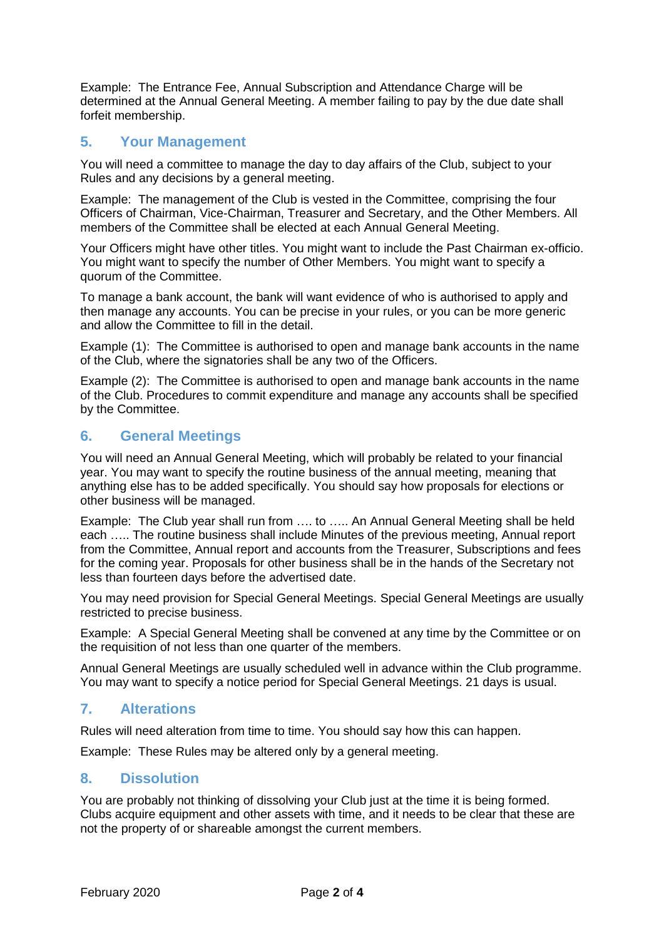Example: The Entrance Fee, Annual Subscription and Attendance Charge will be determined at the Annual General Meeting. A member failing to pay by the due date shall forfeit membership.

# **5. Your Management**

You will need a committee to manage the day to day affairs of the Club, subject to your Rules and any decisions by a general meeting.

Example: The management of the Club is vested in the Committee, comprising the four Officers of Chairman, Vice-Chairman, Treasurer and Secretary, and the Other Members. All members of the Committee shall be elected at each Annual General Meeting.

Your Officers might have other titles. You might want to include the Past Chairman ex-officio. You might want to specify the number of Other Members. You might want to specify a quorum of the Committee.

To manage a bank account, the bank will want evidence of who is authorised to apply and then manage any accounts. You can be precise in your rules, or you can be more generic and allow the Committee to fill in the detail.

Example (1): The Committee is authorised to open and manage bank accounts in the name of the Club, where the signatories shall be any two of the Officers.

Example (2): The Committee is authorised to open and manage bank accounts in the name of the Club. Procedures to commit expenditure and manage any accounts shall be specified by the Committee.

### **6. General Meetings**

You will need an Annual General Meeting, which will probably be related to your financial year. You may want to specify the routine business of the annual meeting, meaning that anything else has to be added specifically. You should say how proposals for elections or other business will be managed.

Example: The Club year shall run from …. to ….. An Annual General Meeting shall be held each ….. The routine business shall include Minutes of the previous meeting, Annual report from the Committee, Annual report and accounts from the Treasurer, Subscriptions and fees for the coming year. Proposals for other business shall be in the hands of the Secretary not less than fourteen days before the advertised date.

You may need provision for Special General Meetings. Special General Meetings are usually restricted to precise business.

Example: A Special General Meeting shall be convened at any time by the Committee or on the requisition of not less than one quarter of the members.

Annual General Meetings are usually scheduled well in advance within the Club programme. You may want to specify a notice period for Special General Meetings. 21 days is usual.

# **7. Alterations**

Rules will need alteration from time to time. You should say how this can happen.

Example: These Rules may be altered only by a general meeting.

### **8. Dissolution**

You are probably not thinking of dissolving your Club just at the time it is being formed. Clubs acquire equipment and other assets with time, and it needs to be clear that these are not the property of or shareable amongst the current members.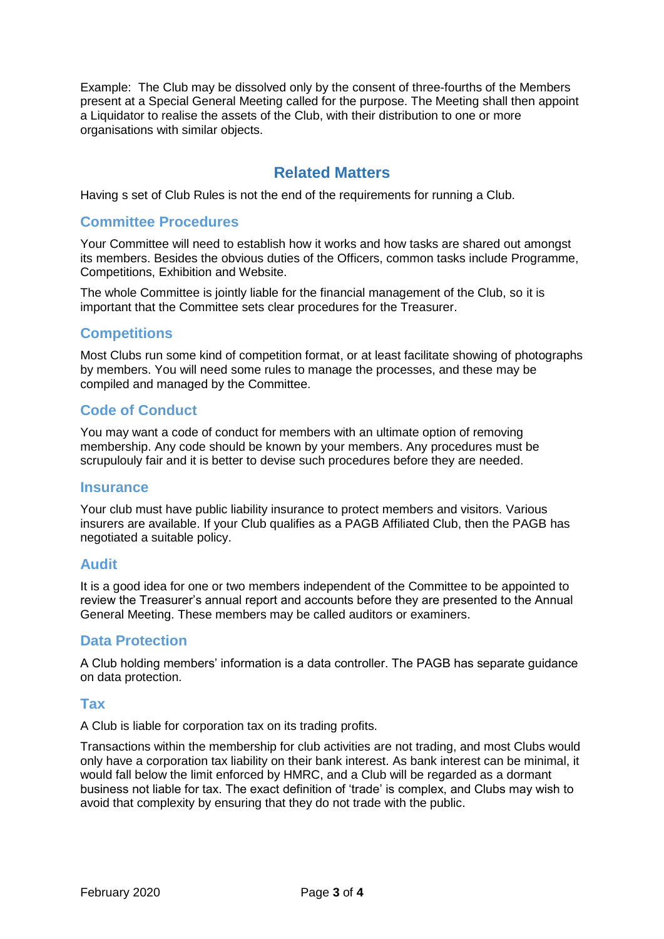Example: The Club may be dissolved only by the consent of three-fourths of the Members present at a Special General Meeting called for the purpose. The Meeting shall then appoint a Liquidator to realise the assets of the Club, with their distribution to one or more organisations with similar objects.

# **Related Matters**

Having s set of Club Rules is not the end of the requirements for running a Club.

### **Committee Procedures**

Your Committee will need to establish how it works and how tasks are shared out amongst its members. Besides the obvious duties of the Officers, common tasks include Programme, Competitions, Exhibition and Website.

The whole Committee is jointly liable for the financial management of the Club, so it is important that the Committee sets clear procedures for the Treasurer.

### **Competitions**

Most Clubs run some kind of competition format, or at least facilitate showing of photographs by members. You will need some rules to manage the processes, and these may be compiled and managed by the Committee.

### **Code of Conduct**

You may want a code of conduct for members with an ultimate option of removing membership. Any code should be known by your members. Any procedures must be scrupulouly fair and it is better to devise such procedures before they are needed.

#### **Insurance**

Your club must have public liability insurance to protect members and visitors. Various insurers are available. If your Club qualifies as a PAGB Affiliated Club, then the PAGB has negotiated a suitable policy.

### **Audit**

It is a good idea for one or two members independent of the Committee to be appointed to review the Treasurer's annual report and accounts before they are presented to the Annual General Meeting. These members may be called auditors or examiners.

### **Data Protection**

A Club holding members' information is a data controller. The PAGB has separate guidance on data protection.

### **Tax**

A Club is liable for corporation tax on its trading profits.

Transactions within the membership for club activities are not trading, and most Clubs would only have a corporation tax liability on their bank interest. As bank interest can be minimal, it would fall below the limit enforced by HMRC, and a Club will be regarded as a dormant business not liable for tax. The exact definition of 'trade' is complex, and Clubs may wish to avoid that complexity by ensuring that they do not trade with the public.